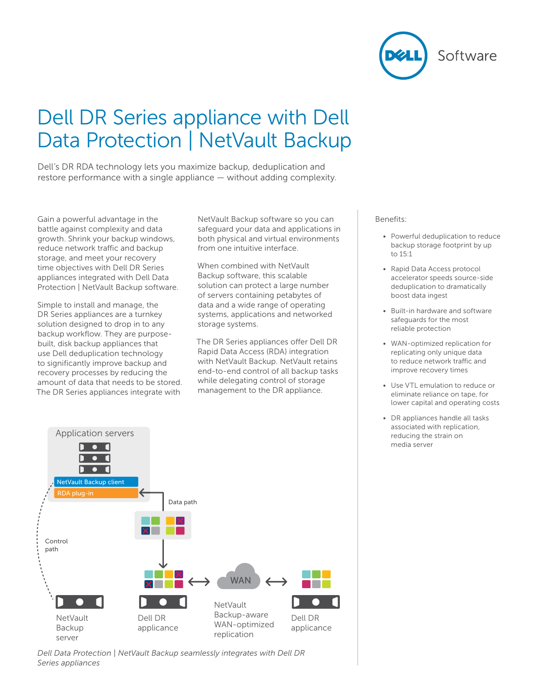

# Dell DR Series appliance with Dell Data Protection | NetVault Backup

Dell's DR RDA technology lets you maximize backup, deduplication and restore performance with a single appliance — without adding complexity.

Gain a powerful advantage in the battle against complexity and data growth. Shrink your backup windows, reduce network traffic and backup storage, and meet your recovery time objectives with Dell DR Series appliances integrated with Dell Data Protection | NetVault Backup software.

Simple to install and manage, the DR Series appliances are a turnkey solution designed to drop in to any backup workflow. They are purposebuilt, disk backup appliances that use Dell deduplication technology to significantly improve backup and recovery processes by reducing the amount of data that needs to be stored. The DR Series appliances integrate with

NetVault Backup software so you can safeguard your data and applications in both physical and virtual environments from one intuitive interface.

When combined with NetVault Backup software, this scalable solution can protect a large number of servers containing petabytes of data and a wide range of operating systems, applications and networked storage systems.

The DR Series appliances offer Dell DR Rapid Data Access (RDA) integration with NetVault Backup. NetVault retains end-to-end control of all backup tasks while delegating control of storage management to the DR appliance.

#### Benefits:

- Powerful deduplication to reduce backup storage footprint by up to 15:1
- Rapid Data Access protocol accelerator speeds source-side deduplication to dramatically boost data ingest
- Built-in hardware and software safeguards for the most reliable protection
- WAN-optimized replication for replicating only unique data to reduce network traffic and improve recovery times
- Use VTL emulation to reduce or eliminate reliance on tape, for lower capital and operating costs
- DR appliances handle all tasks associated with replication, reducing the strain on media server



*Dell Data Protection | NetVault Backup seamlessly integrates with Dell DR Series appliances*